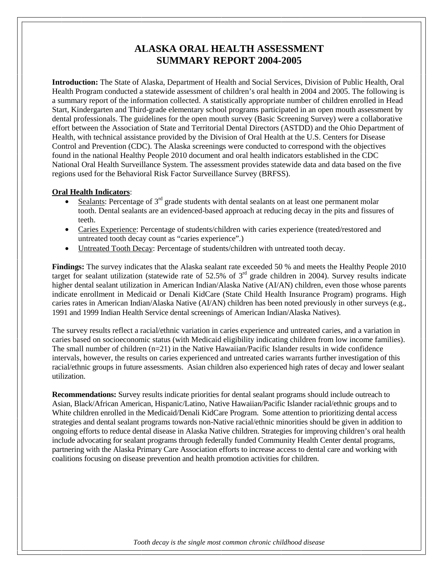# **ALASKA ORAL HEALTH ASSESSMENT SUMMARY REPORT 2004-2005**

**Introduction:** The State of Alaska, Department of Health and Social Services, Division of Public Health, Oral Health Program conducted a statewide assessment of children's oral health in 2004 and 2005. The following is a summary report of the information collected. A statistically appropriate number of children enrolled in Head Start, Kindergarten and Third-grade elementary school programs participated in an open mouth assessment by dental professionals. The guidelines for the open mouth survey (Basic Screening Survey) were a collaborative effort between the Association of State and Territorial Dental Directors (ASTDD) and the Ohio Department of Health, with technical assistance provided by the Division of Oral Health at the U.S. Centers for Disease Control and Prevention (CDC). The Alaska screenings were conducted to correspond with the objectives found in the national Healthy People 2010 document and oral health indicators established in the CDC National Oral Health Surveillance System. The assessment provides statewide data and data based on the five regions used for the Behavioral Risk Factor Surveillance Survey (BRFSS).

#### **Oral Health Indicators**:

- Sealants: Percentage of  $3<sup>rd</sup>$  grade students with dental sealants on at least one permanent molar tooth. Dental sealants are an evidenced-based approach at reducing decay in the pits and fissures of teeth.
- Caries Experience: Percentage of students/children with caries experience (treated/restored and untreated tooth decay count as "caries experience".)
- Untreated Tooth Decay: Percentage of students/children with untreated tooth decay.

**Findings:** The survey indicates that the Alaska sealant rate exceeded 50 % and meets the Healthy People 2010 target for sealant utilization (statewide rate of  $52.5\%$  of  $3<sup>rd</sup>$  grade children in 2004). Survey results indicate higher dental sealant utilization in American Indian/Alaska Native (AI/AN) children, even those whose parents indicate enrollment in Medicaid or Denali KidCare (State Child Health Insurance Program) programs. High caries rates in American Indian/Alaska Native (AI/AN) children has been noted previously in other surveys (e.g., 1991 and 1999 Indian Health Service dental screenings of American Indian/Alaska Natives).

The survey results reflect a racial/ethnic variation in caries experience and untreated caries, and a variation in caries based on socioeconomic status (with Medicaid eligibility indicating children from low income families). The small number of children  $(n=21)$  in the Native Hawaiian/Pacific Islander results in wide confidence intervals, however, the results on caries experienced and untreated caries warrants further investigation of this racial/ethnic groups in future assessments. Asian children also experienced high rates of decay and lower sealant utilization.

**Recommendations:** Survey results indicate priorities for dental sealant programs should include outreach to Asian, Black/African American, Hispanic/Latino, Native Hawaiian/Pacific Islander racial/ethnic groups and to White children enrolled in the Medicaid/Denali KidCare Program. Some attention to prioritizing dental access strategies and dental sealant programs towards non-Native racial/ethnic minorities should be given in addition to ongoing efforts to reduce dental disease in Alaska Native children. Strategies for improving children's oral health include advocating for sealant programs through federally funded Community Health Center dental programs, partnering with the Alaska Primary Care Association efforts to increase access to dental care and working with coalitions focusing on disease prevention and health promotion activities for children.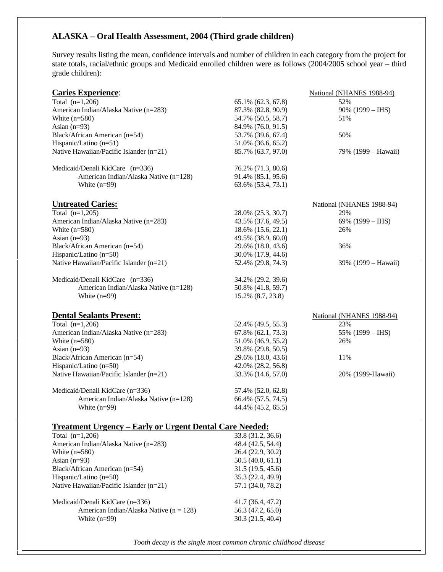### **ALASKA – Oral Health Assessment, 2004 (Third grade children)**

Survey results listing the mean, confidence intervals and number of children in each category from the project for state totals, racial/ethnic groups and Medicaid enrolled children were as follows (2004/2005 school year – third grade children):

| <b>Caries Experience:</b>                                         |                                          | National (NHANES 1988-94) |
|-------------------------------------------------------------------|------------------------------------------|---------------------------|
| Total $(n=1,206)$                                                 | 65.1% (62.3, 67.8)                       | 52%                       |
| American Indian/Alaska Native (n=283)                             | 87.3% (82.8, 90.9)                       | $90\%$ (1999 – IHS)       |
| White $(n=580)$                                                   | 54.7% (50.5, 58.7)                       | 51%                       |
| Asian $(n=93)$                                                    | 84.9% (76.0, 91.5)                       |                           |
| Black/African American (n=54)                                     | 53.7% (39.6, 67.4)                       | 50%                       |
| Hispanic/Latino (n=51)                                            | 51.0% (36.6, 65.2)                       |                           |
| Native Hawaiian/Pacific Islander (n=21)                           | 85.7% (63.7, 97.0)                       | 79% (1999 – Hawaii)       |
| Medicaid/Denali KidCare (n=336)                                   | 76.2% (71.3, 80.6)                       |                           |
| American Indian/Alaska Native (n=128)                             | 91.4% (85.1, 95.6)                       |                           |
| White $(n=99)$                                                    | 63.6% (53.4, 73.1)                       |                           |
| <b>Untreated Caries:</b>                                          |                                          | National (NHANES 1988-94) |
| Total $(n=1,205)$                                                 | 28.0% (25.3, 30.7)                       | 29%                       |
| American Indian/Alaska Native (n=283)                             | 43.5% (37.6, 49.5)                       | 69% $(1999 - H.S)$        |
| White $(n=580)$                                                   | 18.6% (15.6, 22.1)                       | 26%                       |
| Asian $(n=93)$                                                    | 49.5% (38.9, 60.0)                       |                           |
| Black/African American (n=54)                                     | 29.6% (18.0, 43.6)                       | 36%                       |
| Hispanic/Latino (n=50)                                            | 30.0% (17.9, 44.6)                       |                           |
| Native Hawaiian/Pacific Islander (n=21)                           | 52.4% (29.8, 74.3)                       | 39% (1999 – Hawaii)       |
|                                                                   |                                          |                           |
| Medicaid/Denali KidCare (n=336)                                   | 34.2% (29.2, 39.6)                       |                           |
| American Indian/Alaska Native (n=128)                             | 50.8% (41.8, 59.7)                       |                           |
| White $(n=99)$                                                    | 15.2% (8.7, 23.8)                        |                           |
|                                                                   |                                          |                           |
|                                                                   |                                          |                           |
| <b>Dental Sealants Present:</b>                                   |                                          | National (NHANES 1988-94) |
| Total $(n=1,206)$                                                 | 52.4% (49.5, 55.3)                       | 23%                       |
| American Indian/Alaska Native (n=283)                             | 67.8% (62.1, 73.3)                       | 55% $(1999 - H.S)$        |
| White $(n=580)$                                                   | 51.0% (46.9, 55.2)                       | 26%                       |
| Asian $(n=93)$                                                    | 39.8% (29.8, 50.5)                       |                           |
| Black/African American (n=54)                                     | 29.6% (18.0, 43.6)                       | 11%                       |
| Hispanic/Latino (n=50)<br>Native Hawaiian/Pacific Islander (n=21) | 42.0% (28.2, 56.8)<br>33.3% (14.6, 57.0) | 20% (1999-Hawaii)         |
|                                                                   |                                          |                           |
| Medicaid/Denali KidCare (n=336)                                   | 57.4% (52.0, 62.8)                       |                           |
| American Indian/Alaska Native (n=128)                             | 66.4% (57.5, 74.5)                       |                           |
| White $(n=99)$                                                    | 44.4% (45.2, 65.5)                       |                           |
| <b>Treatment Urgency – Early or Urgent Dental Care Needed:</b>    |                                          |                           |
| Total $(n=1,206)$                                                 | 33.8 (31.2, 36.6)                        |                           |
| American Indian/Alaska Native (n=283)                             | 48.4 (42.5, 54.4)                        |                           |
| White $(n=580)$                                                   | 26.4 (22.9, 30.2)                        |                           |
| Asian $(n=93)$                                                    | 50.5(40.0, 61.1)                         |                           |
| Black/African American (n=54)                                     | 31.5 (19.5, 45.6)                        |                           |
| Hispanic/Latino (n=50)                                            | 35.3 (22.4, 49.9)                        |                           |
| Native Hawaiian/Pacific Islander (n=21)                           | 57.1 (34.0, 78.2)                        |                           |
| Medicaid/Denali KidCare (n=336)                                   |                                          |                           |
|                                                                   | 41.7 (36.4, 47.2)                        |                           |
| American Indian/Alaska Native ( $n = 128$ )<br>White $(n=99)$     | 56.3 (47.2, 65.0)<br>30.3 (21.5, 40.4)   |                           |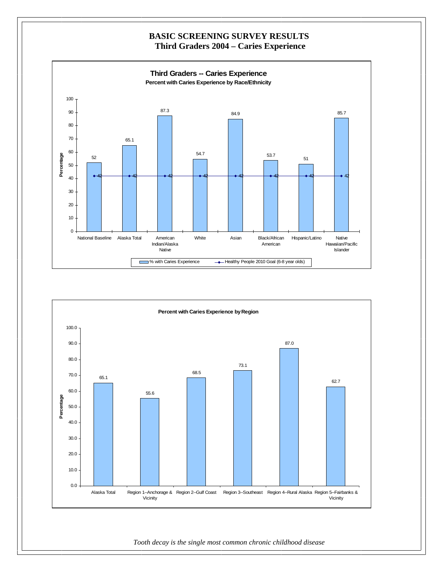

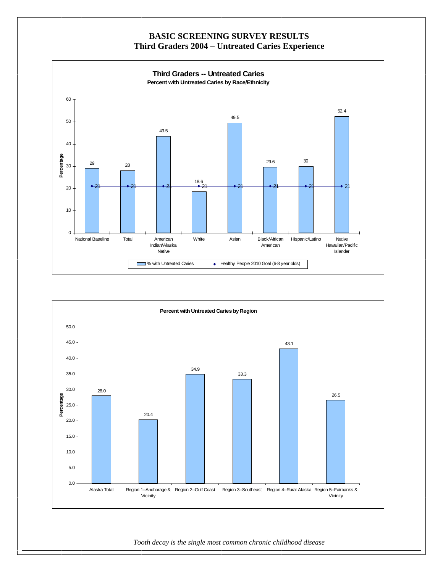

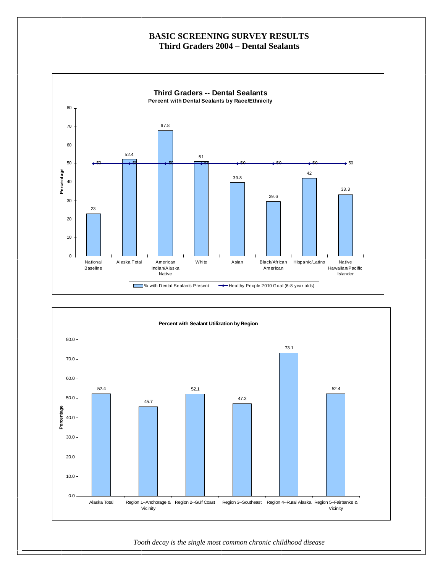### **BASIC SCREENING SURVEY RESULTS Third Graders 2004 – Dental Sealants**



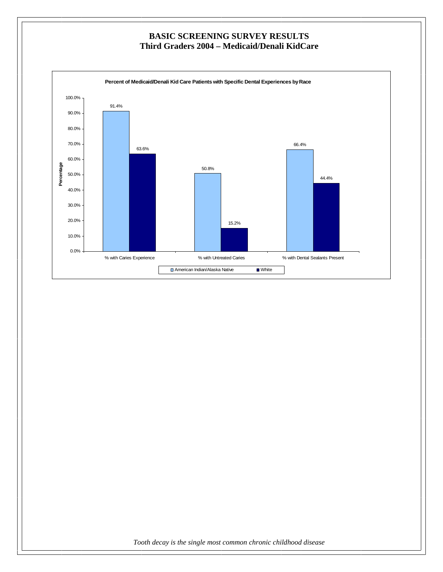### **BASIC SCREENING SURVEY RESULTS Third Graders 2004 – Medicaid/Denali KidCare**

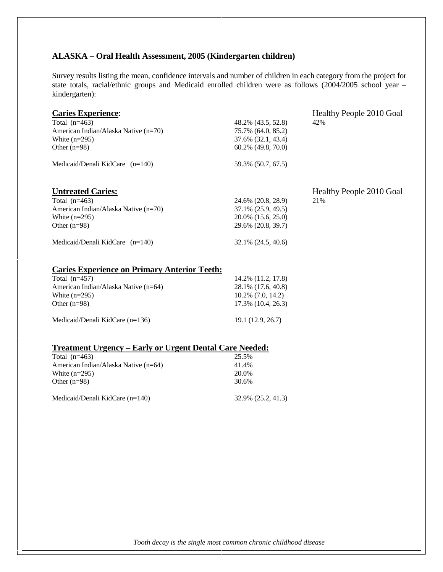#### **ALASKA – Oral Health Assessment, 2005 (Kindergarten children)**

Survey results listing the mean, confidence intervals and number of children in each category from the project for state totals, racial/ethnic groups and Medicaid enrolled children were as follows (2004/2005 school year – kindergarten):

| <b>Caries Experience:</b><br>Total $(n=463)$<br>American Indian/Alaska Native (n=70)<br>White $(n=295)$<br>Other $(n=98)$<br>Medicaid/Denali KidCare $(n=140)$                           | 48.2% (43.5, 52.8)<br>75.7% (64.0, 85.2)<br>37.6% (32.1, 43.4)<br>$60.2\%$ (49.8, 70.0)<br>59.3% (50.7, 67.5) | Healthy People 2010 Goal<br>42% |
|------------------------------------------------------------------------------------------------------------------------------------------------------------------------------------------|---------------------------------------------------------------------------------------------------------------|---------------------------------|
| <b>Untreated Caries:</b><br>Total $(n=463)$<br>American Indian/Alaska Native (n=70)<br>White $(n=295)$<br>Other $(n=98)$                                                                 | 24.6% (20.8, 28.9)<br>37.1% (25.9, 49.5)<br>20.0% (15.6, 25.0)<br>29.6% (20.8, 39.7)                          | Healthy People 2010 Goal<br>21% |
| Medicaid/Denali KidCare $(n=140)$<br><b>Caries Experience on Primary Anterior Teeth:</b><br>Total $(n=457)$<br>American Indian/Alaska Native (n=64)<br>White $(n=295)$<br>Other $(n=98)$ | 32.1% (24.5, 40.6)<br>14.2% (11.2, 17.8)<br>28.1% (17.6, 40.8)<br>$10.2\%$ (7.0, 14.2)<br>17.3% (10.4, 26.3)  |                                 |

Medicaid/Denali KidCare (n=136) 19.1 (12.9, 26.7)

#### **Treatment Urgency – Early or Urgent Dental Care Needed:**

Total (n=463) 25.5% American Indian/Alaska Native (n=64) 41.4%<br>White (n=295) 20.0% White  $(n=295)$ Other (n=98) 30.6% Medicaid/Denali KidCare (n=140) 32.9% (25.2, 41.3)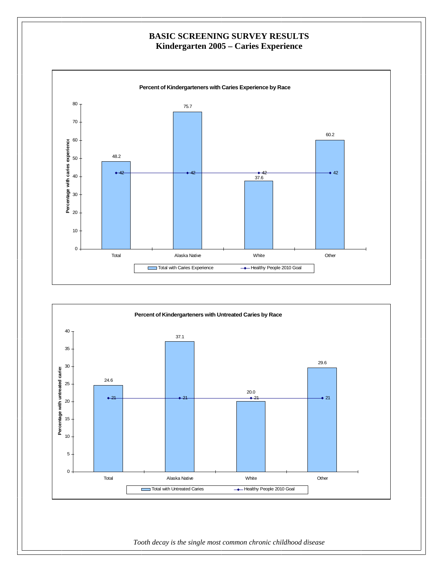# **BASIC SCREENING SURVEY RESULTS Kindergarten 2005 – Caries Experience**



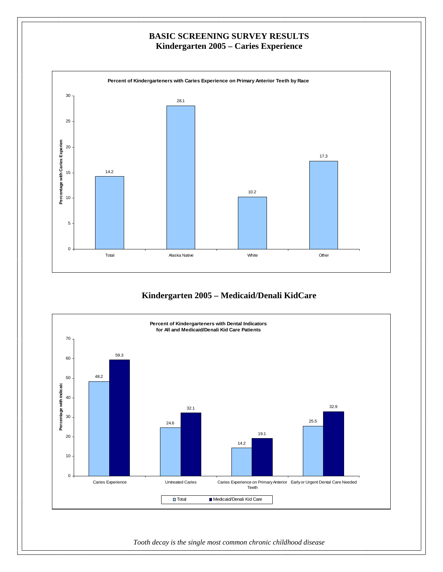

# **Kindergarten 2005 – Medicaid/Denali KidCare**

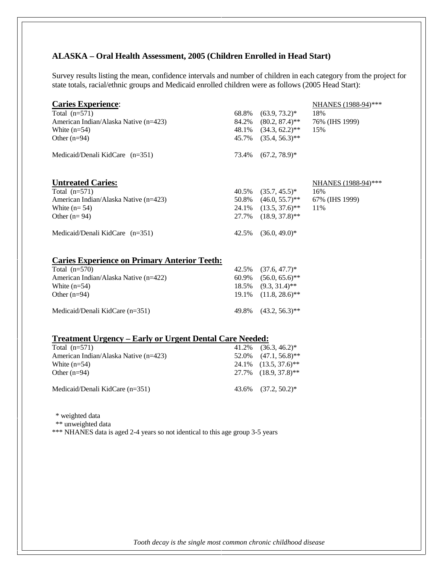#### **ALASKA – Oral Health Assessment, 2005 (Children Enrolled in Head Start)**

Survey results listing the mean, confidence intervals and number of children in each category from the project for state totals, racial/ethnic groups and Medicaid enrolled children were as follows (2005 Head Start):

| <b>Caries Experience:</b>                           |       |                            | NHANES (1988-94)*** |
|-----------------------------------------------------|-------|----------------------------|---------------------|
| Total $(n=571)$                                     | 68.8% | $(63.9, 73.2)^*$           | 18%                 |
| American Indian/Alaska Native (n=423)               |       | 84.2% (80.2, 87.4)**       | 76% (IHS 1999)      |
| White $(n=54)$                                      |       | 48.1% (34.3, 62.2)**       | 15%                 |
| Other $(n=94)$                                      |       | 45.7% (35.4, 56.3)**       |                     |
| Medicaid/Denali KidCare (n=351)                     | 73.4% | $(67.2, 78.9)^*$           |                     |
| <b>Untreated Caries:</b>                            |       |                            | NHANES (1988-94)*** |
| Total $(n=571)$                                     | 40.5% | $(35.7, 45.5)^*$           | 16%                 |
| American Indian/Alaska Native (n=423)               |       | $50.8\%$ $(46.0, 55.7)$ ** | 67% (IHS 1999)      |
| White $(n=54)$                                      |       | $24.1\%$ $(13.5, 37.6)$ ** | 11%                 |
| Other $(n=94)$                                      |       | 27.7% $(18.9, 37.8)$ **    |                     |
| Medicaid/Denali KidCare (n=351)                     | 42.5% | $(36.0, 49.0)^*$           |                     |
| <b>Caries Experience on Primary Anterior Teeth:</b> |       |                            |                     |
| Total $(n=570)$                                     | 42.5% | $(37.6, 47.7)^*$           |                     |
| American Indian/Alaska Native (n=422)               | 60.9% | $(56.0, 65.6)$ **          |                     |
| White $(n=54)$                                      | 18.5% | $(9.3, 31.4)$ **           |                     |
| Other $(n=94)$                                      | 19.1% | $(11.8, 28.6)$ **          |                     |
| Medicaid/Denali KidCare (n=351)                     | 49.8% | $(43.2, 56.3)$ **          |                     |
|                                                     |       |                            |                     |

#### **Treatment Urgency – Early or Urgent Dental Care Needed:**

| Total $(n=571)$                       | $41.2\%$ $(36.3, 46.2)^*$             |
|---------------------------------------|---------------------------------------|
| American Indian/Alaska Native (n=423) | $52.0\%$ $(47.1, 56.8)$ **            |
| White $(n=54)$                        | $24.1\%$ $(13.5, 37.6)$ <sup>**</sup> |
| Other $(n=94)$                        | $27.7\%$ $(18.9, 37.8)$ **            |
| Medicaid/Denali KidCare $(n=351)$     | $43.6\%$ $(37.2, 50.2)^*$             |

\* weighted data

\*\* unweighted data

\*\*\* NHANES data is aged 2-4 years so not identical to this age group 3-5 years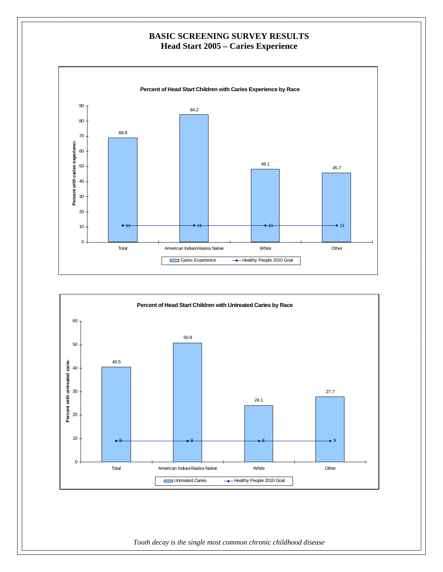### **BASIC SCREENING SURVEY RESULTS Head Start 2005 – Caries Experience**



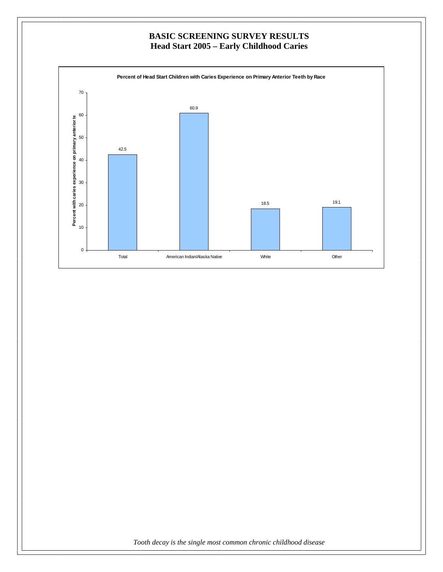# **BASIC SCREENING SURVEY RESULTS Head Start 2005 – Early Childhood Caries**